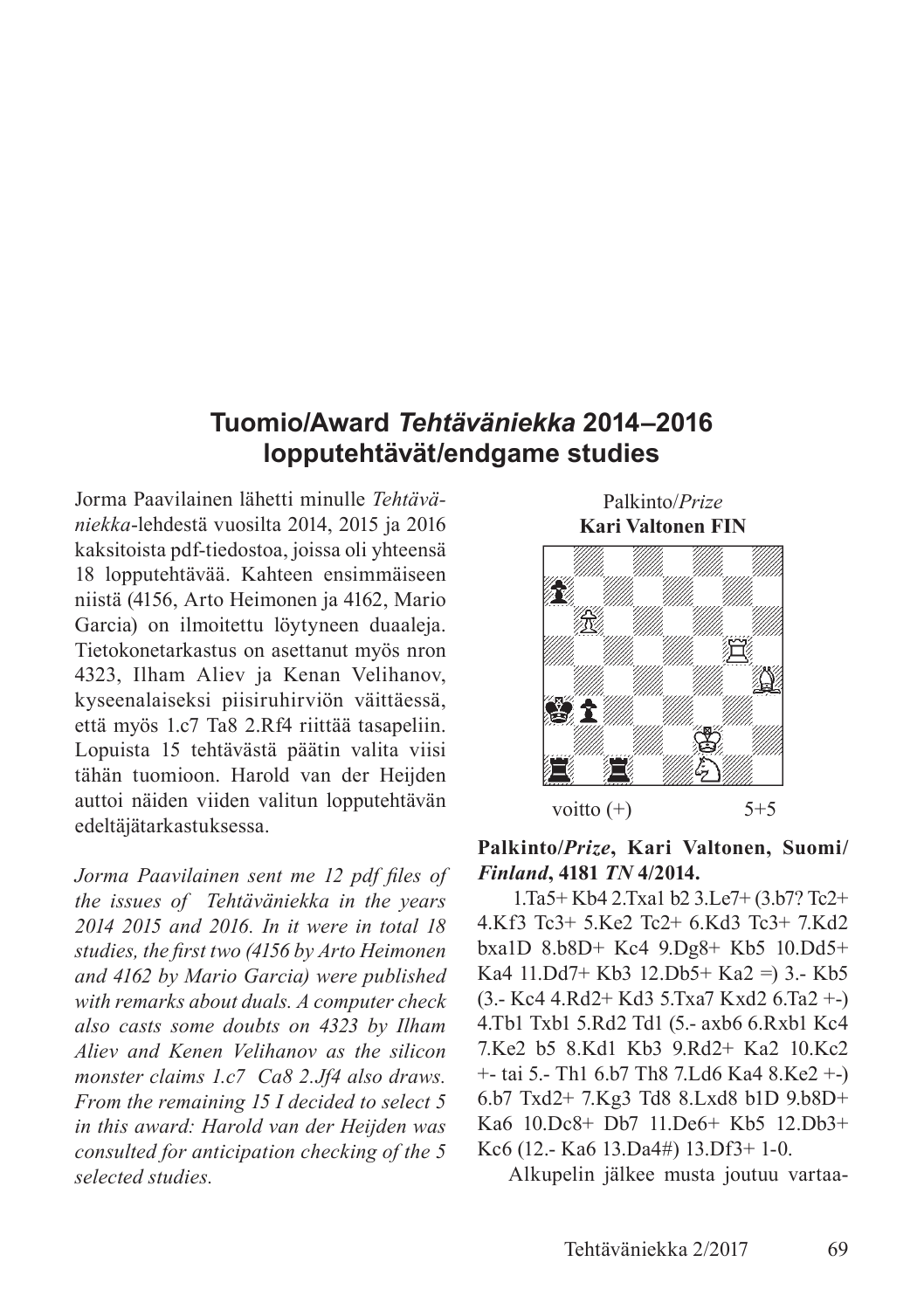# **Tuomio/Award** *Tehtäväniekka* **2014‒2016 lopputehtävät/endgame studies**

Jorma Paavilainen lähetti minulle *Tehtäväniekka*-lehdestä vuosilta 2014, 2015 ja 2016 kaksitoista pdf-tiedostoa, joissa oli yhteensä 18 lopputehtävää. Kahteen ensimmäiseen niistä (4156, Arto Heimonen ja 4162, Mario Garcia) on ilmoitettu löytyneen duaaleja. Tietokonetarkastus on asettanut myös nron 4323, Ilham Aliev ja Kenan Velihanov, kyseenalaiseksi piisiruhirviön väittäessä, että myös 1.c7 Ta8 2.Rf4 riittää tasapeliin. Lopuista 15 tehtävästä päätin valita viisi tähän tuomioon. Harold van der Heijden auttoi näiden viiden valitun lopputehtävän edeltäjätarkastuksessa.

*Jorma Paavilainen sent me 12 pdf files of the issues of Tehtäväniekka in the years 2014 2015 and 2016. In it were in total 18 studies, the first two (4156 by Arto Heimonen and 4162 by Mario Garcia) were published with remarks about duals. A computer check also casts some doubts on 4323 by Ilham Aliev and Kenen Velihanov as the silicon monster claims 1.c7 Ca8 2.Jf4 also draws. From the remaining 15 I decided to select 5 in this award: Harold van der Heijden was consulted for anticipation checking of the 5 selected studies.*

Palkinto/*Prize* **Kari Valtonen FIN**



**Palkinto/***Prize***, Kari Valtonen, Suomi/** *Finland***, 4181** *TN* **4/2014.**

 1.Ta5+ Kb4 2.Txa1 b2 3.Le7+ (3.b7? Tc2+ 4.Kf3 Tc3+ 5.Ke2 Tc2+ 6.Kd3 Tc3+ 7.Kd2 bxa1D 8.b8D+ Kc4 9.Dg8+ Kb5 10.Dd5+ Ka4 11.Dd7+ Kb3 12.Db5+ Ka2 =) 3.- Kb5 (3.- Kc4 4.Rd2+ Kd3 5.Txa7 Kxd2 6.Ta2 +-) 4.Tb1 Txb1 5.Rd2 Td1 (5.- axb6 6.Rxb1 Kc4 7.Ke2 b5 8.Kd1 Kb3 9.Rd2+ Ka2 10.Kc2 +- tai 5.- Th1 6.b7 Th8 7.Ld6 Ka4 8.Ke2 +-) 6.b7 Txd2+ 7.Kg3 Td8 8.Lxd8 b1D 9.b8D+ Ka6 10.Dc8+ Db7 11.De6+ Kb5 12.Db3+ Kc6 (12.- Ka6 13.Da4#) 13.Df3+ 1-0.

Alkupelin jälkee musta joutuu vartaa-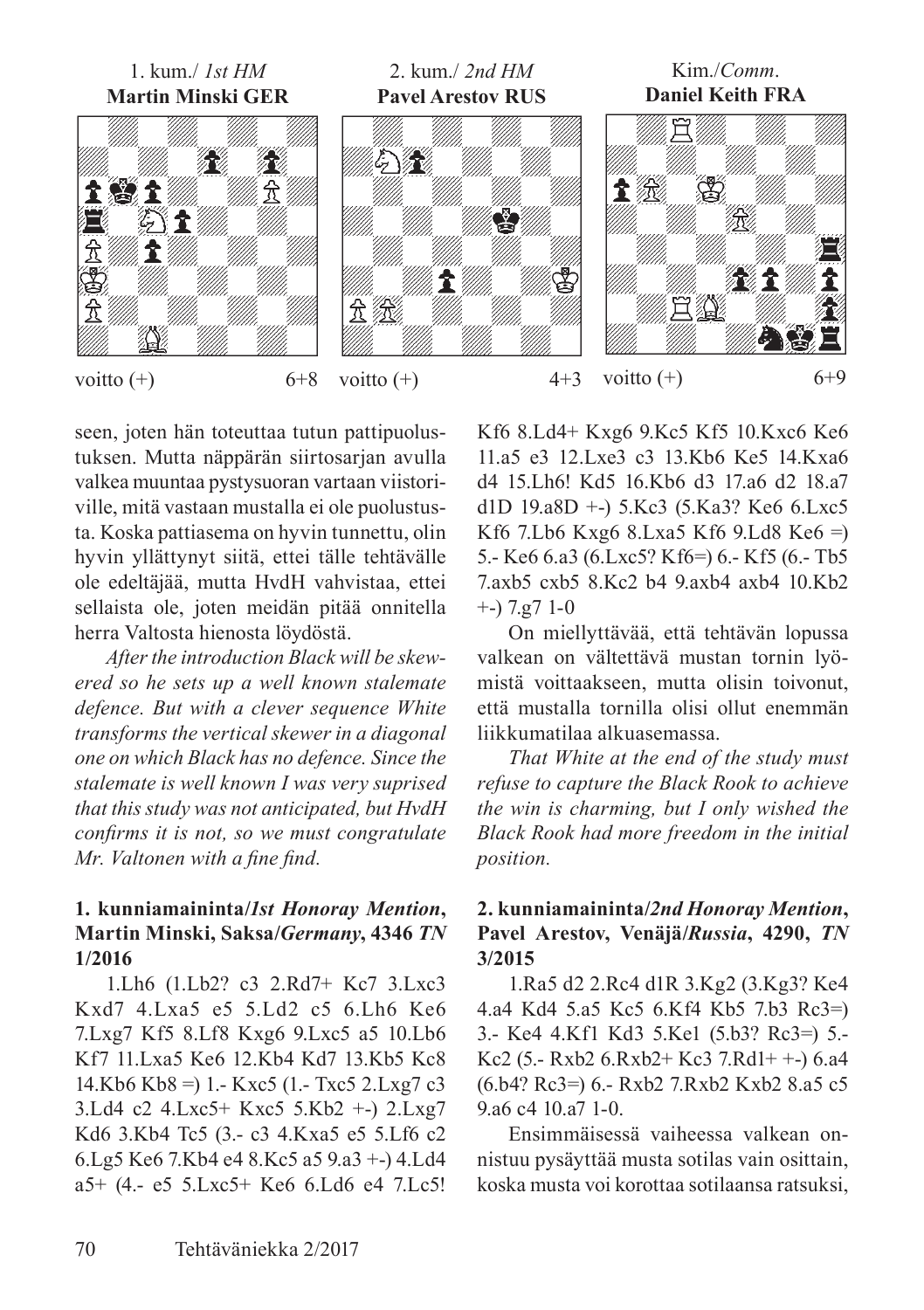

seen, joten hän toteuttaa tutun pattipuolustuksen. Mutta näppärän siirtosarjan avulla valkea muuntaa pystysuoran vartaan viistoriville, mitä vastaan mustalla ei ole puolustusta. Koska pattiasema on hyvin tunnettu, olin hyvin yllättynyt siitä, ettei tälle tehtävälle ole edeltäjää, mutta HvdH vahvistaa, ettei sellaista ole, joten meidän pitää onnitella herra Valtosta hienosta löydöstä.

*After the introduction Black will be skewered so he sets up a well known stalemate defence. But with a clever sequence White transforms the vertical skewer in a diagonal one on which Black has no defence. Since the stalemate is well known I was very suprised that this study was not anticipated, but HvdH confirms it is not, so we must congratulate Mr. Valtonen with a fine find.*

# **1. kunniamaininta/***1st Honoray Mention***, Martin Minski, Saksa/***Germany***, 4346** *TN* **1/2016**

1.Lh6 (1.Lb2? c3 2.Rd7+ Kc7 3.Lxc3 Kxd7 4.Lxa5 e5 5.Ld2 c5 6.Lh6 Ke6 7.Lxg7 Kf5 8.Lf8 Kxg6 9.Lxc5 a5 10.Lb6 Kf7 11.Lxa5 Ke6 12.Kb4 Kd7 13.Kb5 Kc8 14.Kb6 Kb8 =) 1.- Kxc5 (1.- Txc5 2.Lxg7 c3 3.Ld4 c2 4.Lxc5+ Kxc5 5.Kb2 +-) 2.Lxg7 Kd6 3.Kb4 Tc5 (3.- c3 4.Kxa5 e5 5.Lf6 c2 6.Lg5 Ke6 7.Kb4 e4 8.Kc5 a5 9.a3 +-) 4.Ld4 a5+ (4.- e5 5.Lxc5+ Ke6 6.Ld6 e4 7.Lc5! Kf6 8.Ld4+ Kxg6 9.Kc5 Kf5 10.Kxc6 Ke6 11.a5 e3 12.Lxe3 c3 13.Kb6 Ke5 14.Kxa6 d4 15.Lh6! Kd5 16.Kb6 d3 17.a6 d2 18.a7 d1D 19.a8D +-) 5.Kc3 (5.Ka3? Ke6 6.Lxc5 Kf6 7.Lb6 Kxg6 8.Lxa5 Kf6 9.Ld8 Ke6 =) 5.- Ke6 6.a3 (6.Lxc5? Kf6=) 6.- Kf5 (6.- Tb5 7.axb5 cxb5 8.Kc2 b4 9.axb4 axb4 10.Kb2 +-) 7.g7 1-0

On miellyttävää, että tehtävän lopussa valkean on vältettävä mustan tornin lyömistä voittaakseen, mutta olisin toivonut, että mustalla tornilla olisi ollut enemmän liikkumatilaa alkuasemassa.

*That White at the end of the study must refuse to capture the Black Rook to achieve the win is charming, but I only wished the Black Rook had more freedom in the initial position.*

### **2. kunniamaininta/***2nd Honoray Mention***, Pavel Arestov, Venäjä/***Russia***, 4290,** *TN* **3/2015**

1.Ra5 d2 2.Rc4 d1R 3.Kg2 (3.Kg3? Ke4 4.a4 Kd4 5.a5 Kc5 6.Kf4 Kb5 7.b3 Rc3=) 3.- Ke4 4.Kf1 Kd3 5.Ke1 (5.b3? Rc3=) 5.- Kc2 (5.- Rxb2 6.Rxb2+ Kc3 7.Rd1+ +-) 6.a4 (6.b4? Rc3=) 6.- Rxb2 7.Rxb2 Kxb2 8.a5 c5 9.a6 c4 10.a7 1-0.

Ensimmäisessä vaiheessa valkean onnistuu pysäyttää musta sotilas vain osittain, koska musta voi korottaa sotilaansa ratsuksi,